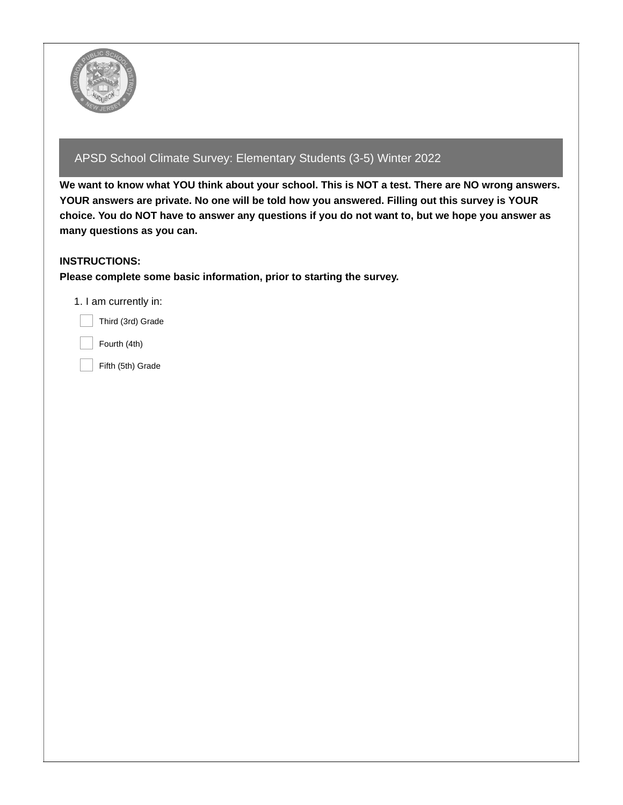

# APSD School Climate Survey: Elementary Students (3-5) Winter 2022

We want to know what YOU think about your school. This is NOT a test. There are NO wrong answers. **YOUR answers are private. No one will be told how you answered. Filling out this survey is YOUR** choice. You do NOT have to answer any questions if you do not want to, but we hope you answer as **many questions as you can.**

# **INSTRUCTIONS:**

**Please complete some basic information, prior to starting the survey.**

1. I am currently in:

Third (3rd) Grade

Fourth (4th)

Fifth (5th) Grade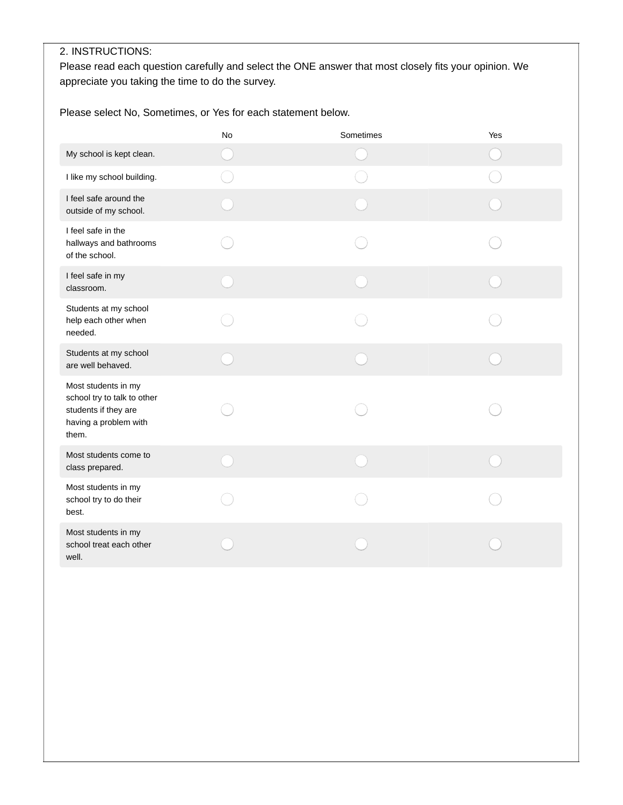# 2. INSTRUCTIONS:

Please read each question carefully and select the ONE answer that most closely fits your opinion. We appreciate you taking the time to do the survey.

Please select No, Sometimes, or Yes for each statement below.

|                                                                                                              | No | Sometimes | Yes |
|--------------------------------------------------------------------------------------------------------------|----|-----------|-----|
| My school is kept clean.                                                                                     |    |           |     |
| I like my school building.                                                                                   |    |           |     |
| I feel safe around the<br>outside of my school.                                                              |    |           |     |
| I feel safe in the<br>hallways and bathrooms<br>of the school.                                               |    |           |     |
| I feel safe in my<br>classroom.                                                                              |    |           |     |
| Students at my school<br>help each other when<br>needed.                                                     |    |           |     |
| Students at my school<br>are well behaved.                                                                   |    |           |     |
| Most students in my<br>school try to talk to other<br>students if they are<br>having a problem with<br>them. |    |           |     |
| Most students come to<br>class prepared.                                                                     |    |           |     |
| Most students in my<br>school try to do their<br>best.                                                       |    |           |     |
| Most students in my<br>school treat each other<br>well.                                                      |    |           |     |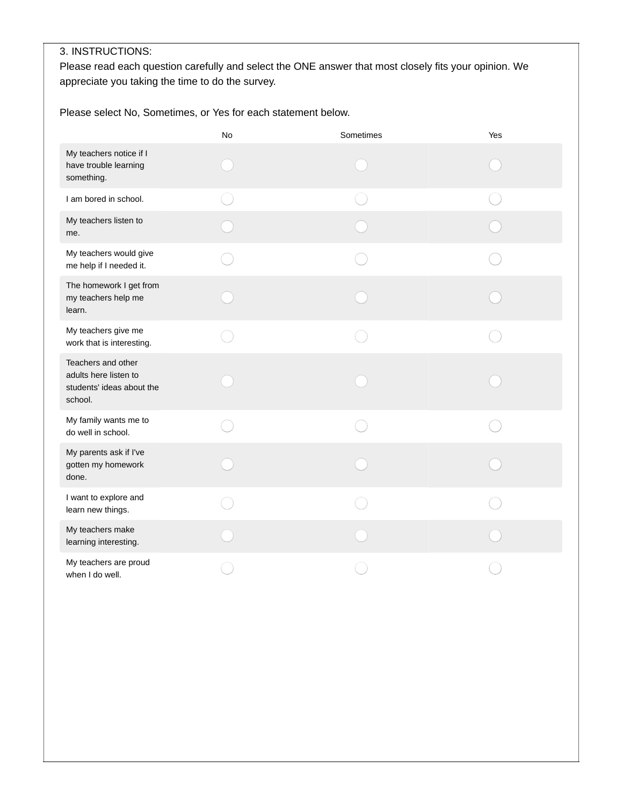# 3. INSTRUCTIONS:

Please read each question carefully and select the ONE answer that most closely fits your opinion. We appreciate you taking the time to do the survey.

Please select No, Sometimes, or Yes for each statement below.

|                                                                                     | No | Sometimes | Yes |
|-------------------------------------------------------------------------------------|----|-----------|-----|
| My teachers notice if I<br>have trouble learning<br>something.                      |    |           |     |
| I am bored in school.                                                               |    |           |     |
| My teachers listen to<br>me.                                                        |    |           |     |
| My teachers would give<br>me help if I needed it.                                   |    |           |     |
| The homework I get from<br>my teachers help me<br>learn.                            |    |           |     |
| My teachers give me<br>work that is interesting.                                    |    |           |     |
| Teachers and other<br>adults here listen to<br>students' ideas about the<br>school. |    |           |     |
| My family wants me to<br>do well in school.                                         |    |           |     |
| My parents ask if I've<br>gotten my homework<br>done.                               |    |           |     |
| I want to explore and<br>learn new things.                                          |    |           |     |
| My teachers make<br>learning interesting.                                           |    |           |     |
| My teachers are proud<br>when I do well.                                            |    |           |     |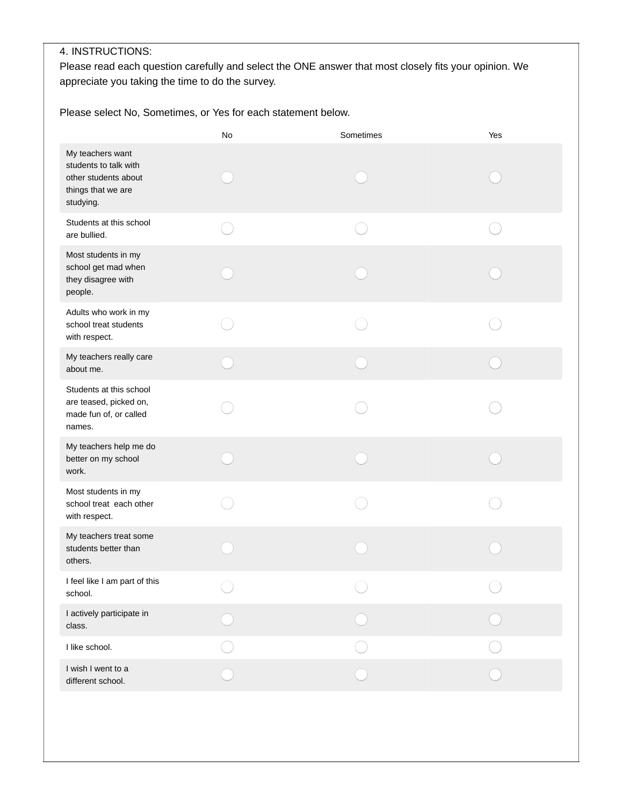## 4. INSTRUCTIONS:

Please read each question carefully and select the ONE answer that most closely fits your opinion. We appreciate you taking the time to do the survey.

Please select No, Sometimes, or Yes for each statement below.

|                                                                                                      | No | Sometimes | Yes |
|------------------------------------------------------------------------------------------------------|----|-----------|-----|
| My teachers want<br>students to talk with<br>other students about<br>things that we are<br>studying. |    |           |     |
| Students at this school<br>are bullied.                                                              |    |           |     |
| Most students in my<br>school get mad when<br>they disagree with<br>people.                          |    |           |     |
| Adults who work in my<br>school treat students<br>with respect.                                      |    |           |     |
| My teachers really care<br>about me.                                                                 |    |           |     |
| Students at this school<br>are teased, picked on,<br>made fun of, or called<br>names.                |    |           |     |
| My teachers help me do<br>better on my school<br>work.                                               |    |           |     |
| Most students in my<br>school treat each other<br>with respect.                                      |    |           |     |
| My teachers treat some<br>students better than<br>others.                                            |    |           |     |
| I feel like I am part of this<br>school.                                                             |    |           |     |
| I actively participate in<br>class.                                                                  |    |           |     |
| I like school.                                                                                       |    |           |     |
| I wish I went to a<br>different school.                                                              |    |           |     |